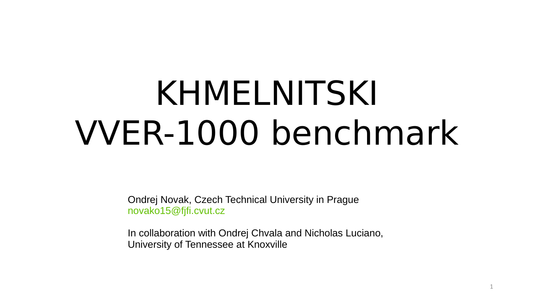# KHMELNITSKI VVER-1000 benchmark

Ondrej Novak, Czech Technical University in Prague [novako15@fjfi.cvut.cz](mailto:novako15@fjfi.cvut.cz)

In collaboration with Ondrej Chvala and Nicholas Luciano, University of Tennessee at Knoxville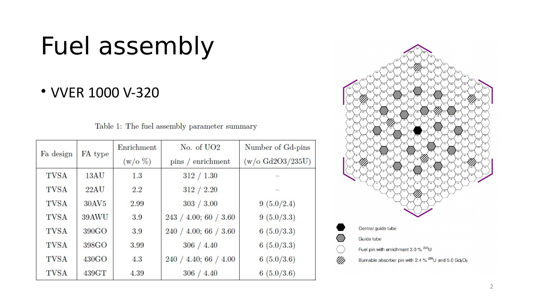#### Fuel assembly

#### • VVER 1000 V-320

| Table 1: The fuel assembly parameter summary |  |
|----------------------------------------------|--|
|----------------------------------------------|--|

| Fa design   | FA type           | Enrichment | $No. of UO2$          | Number of Gd-pins         |
|-------------|-------------------|------------|-----------------------|---------------------------|
|             |                   | $(w/o \%)$ | pins / enrichment     | $(w/\text{o }Gd2O3/235U)$ |
| <b>TVSA</b> | 13AU              | 1.3        | 312 / 1.30            |                           |
| <b>TVSA</b> | 22AU              | 2.2        | 312 / 2.20            |                           |
| <b>TVSA</b> | 30AV5             | 2.99       | 303 / 3.00            | 9(5.0/2.4)                |
| <b>TVSA</b> | 39AWU             | 3.9        | 243 / 4.00; 60 / 3.60 | 9(5.0/3.3)                |
| <b>TVSA</b> | 390GO             | 3.9        | 240 / 4.00; 66 / 3.60 | 6(5.0/3.3)                |
| <b>TVSA</b> | 398GO             | 3.99       | 306 / 4.40            | 6(5.0/3.3)                |
| <b>TVSA</b> | 430G <sub>O</sub> | 4.3        | 240 / 4.40; 66 / 4.00 | 6(5.0/3.6)                |
| <b>TVSA</b> | 439GT             | 4.39       | 306 / 4.40            | 6(5.0/3.6)                |

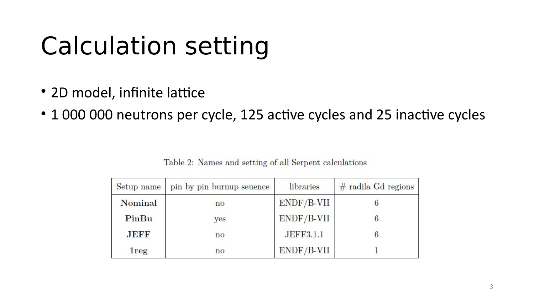# Calculation setting

- 2D model, infinite lattice
- 1 000 000 neutrons per cycle, 125 active cycles and 25 inactive cycles

| Setup name  | pin by pin burnup seuence | libraries    | $#$ radila Gd regions |
|-------------|---------------------------|--------------|-----------------------|
| Nominal     | $\mathbf{n}\mathbf{o}$    | $ENDF/B-VII$ |                       |
| PinBu       | yes                       | $ENDF/B-VII$ |                       |
| <b>JEFF</b> | $\mathbf{n}$              | JEFF3.1.1    |                       |
| <b>lreg</b> | no                        | ENDF/B-VII   |                       |

Table 2: Names and setting of all Serpent calculations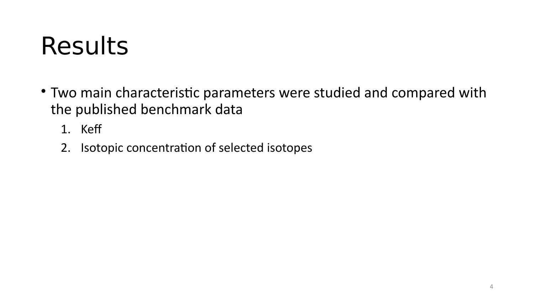#### Results

- Two main characteristic parameters were studied and compared with the published benchmark data
	- 1. Kef
	- 2. Isotopic concentration of selected isotopes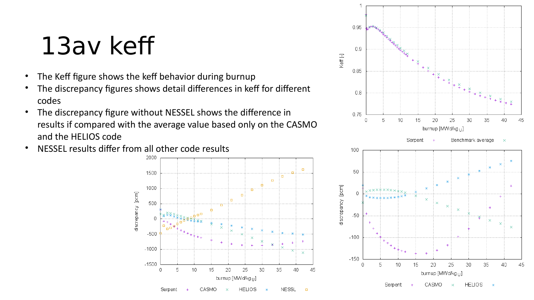#### 13av kef

- The Keff figure shows the keff behavior during burnup
- The discrepancy figures shows detail differences in keff for different codes
- The discrepancy figure without NESSEL shows the diference in results if compared with the average value based only on the CASMO and the HELIOS code
- NESSEL results difer from all other code results



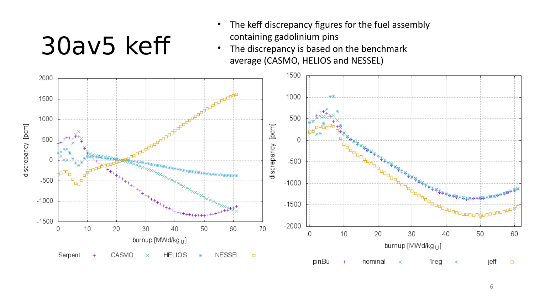#### 30av5 kef

- The keff discrepancy figures for the fuel assembly containing gadolinium pins
- The discrepancy is based on the benchmark average (CASMO, HELIOS and NESSEL)

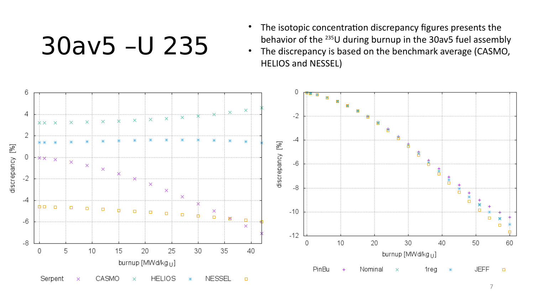30av5 –U 235

- The isotopic concentration discrepancy figures presents the behavior of the 235U during burnup in the 30av5 fuel assembly
- The discrepancy is based on the benchmark average (CASMO, HELIOS and NESSEL)

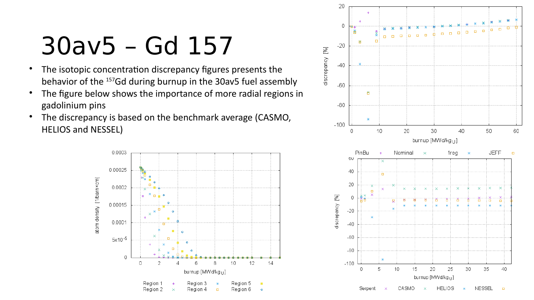#### 30av5 – Gd 157

- The isotopic concentration discrepancy figures presents the behavior of the 157Gd during burnup in the 30av5 fuel assembly
- The figure below shows the importance of more radial regions in gadolinium pins
- The discrepancy is based on the benchmark average (CASMO, HELIOS and NESSEL)



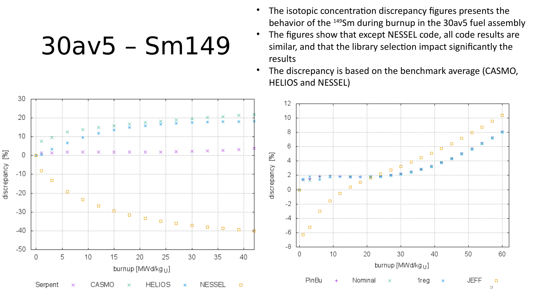30av5 – Sm149

- The isotopic concentration discrepancy figures presents the behavior of the 149Sm during burnup in the 30av5 fuel assembly
- The figures show that except NESSEL code, all code results are similar, and that the library selection impact significantly the results
- The discrepancy is based on the benchmark average (CASMO, HELIOS and NESSEL)

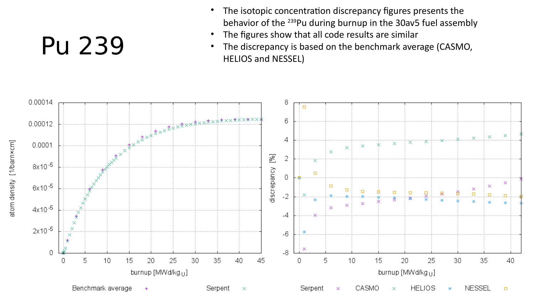#### Pu 239

- The isotopic concentration discrepancy figures presents the behavior of the 239Pu during burnup in the 30av5 fuel assembly
- The figures show that all code results are similar
- The discrepancy is based on the benchmark average (CASMO, HELIOS and NESSEL)

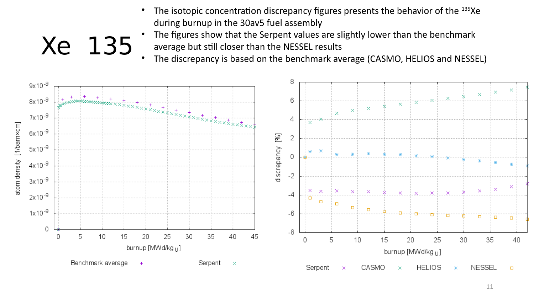- The isotopic concentration discrepancy figures presents the behavior of the 135Xe during burnup in the 30av5 fuel assembly
- The figures show that the Serpent values are slightly lower than the benchmark average but still closer than the NESSEL results
- The discrepancy is based on the benchmark average (CASMO, HELIOS and NESSEL)



Xe 135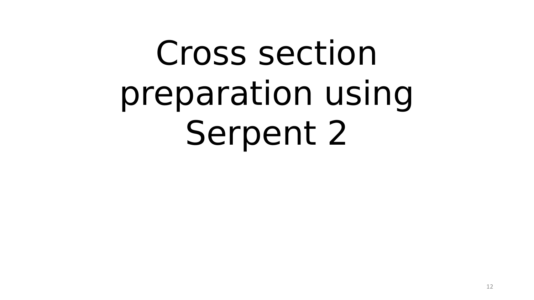# Cross section preparation using Serpent 2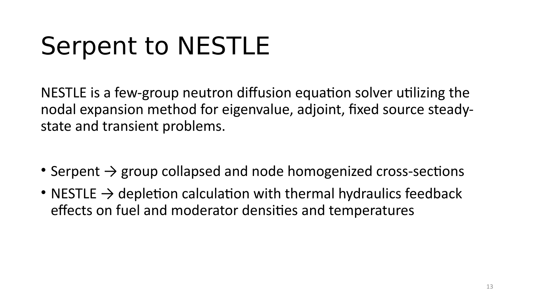#### Serpent to NESTLE

NESTLE is a few-group neutron difusion equation solver utilizing the nodal expansion method for eigenvalue, adjoint, fixed source steadystate and transient problems.

- Serpent  $\rightarrow$  group collapsed and node homogenized cross-sections
- NESTLE  $\rightarrow$  depletion calculation with thermal hydraulics feedback effects on fuel and moderator densities and temperatures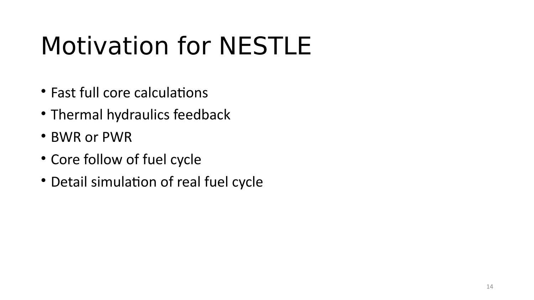# Motivation for NESTLE

- Fast full core calculations
- Thermal hydraulics feedback
- BWR or PWR
- Core follow of fuel cycle
- Detail simulation of real fuel cycle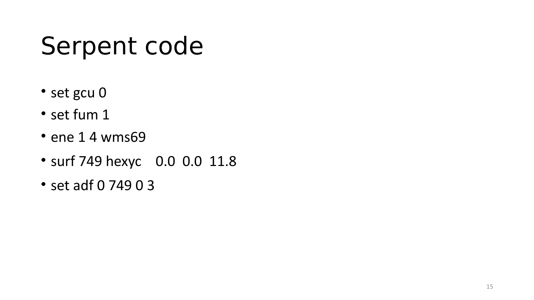#### Serpent code

- set gcu 0
- set fum 1
- ene 1 4 wms69
- surf 749 hexyc 0.0 0.0 11.8
- set adf 0 749 0 3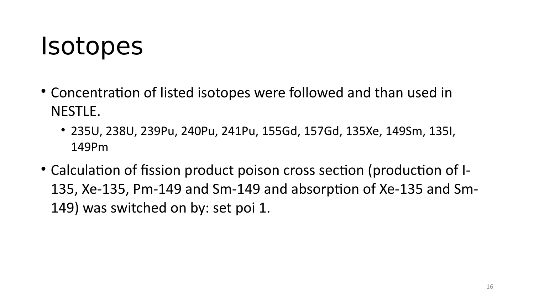#### Isotopes

- Concentration of listed isotopes were followed and than used in NESTLE.
	- 235U, 238U, 239Pu, 240Pu, 241Pu, 155Gd, 157Gd, 135Xe, 149Sm, 135I, 149Pm
- Calculation of fission product poison cross section (production of I-135, Xe-135, Pm-149 and Sm-149 and absorption of Xe-135 and Sm-149) was switched on by: set poi 1.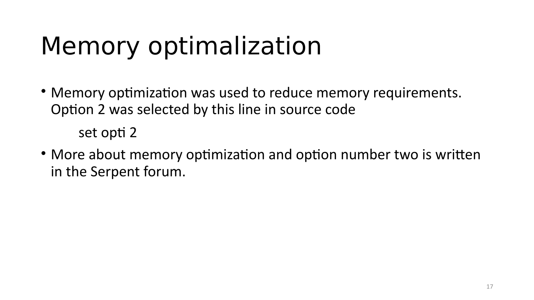## Memory optimalization

- Memory optimization was used to reduce memory requirements. Option 2 was selected by this line in source code set opti 2
- More about memory optimization and option number two is written in the Serpent forum.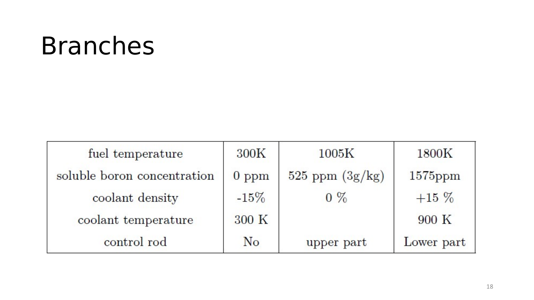#### Branches

| fuel temperature            | 300K    | 1005K               | 1800K      |
|-----------------------------|---------|---------------------|------------|
| soluble boron concentration | $0$ ppm | $525$ ppm $(3g/kg)$ | $1575$ ppm |
| coolant density             | $-15%$  | $0\%$               | $+15\%$    |
| coolant temperature         | 300 K   |                     | 900 K      |
| control rod                 | No      | upper part          | Lower part |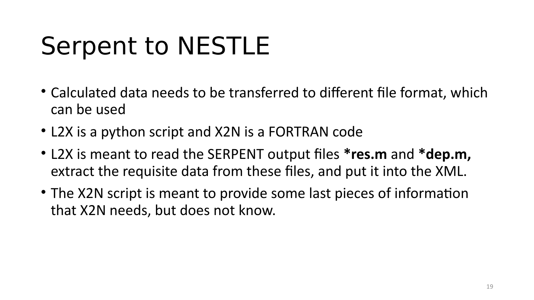#### Serpent to NESTLE

- Calculated data needs to be transferred to diferent file format, which can be used
- L2X is a python script and X2N is a FORTRAN code
- L2X is meant to read the SERPENT output files **\*res.m** and **\*dep.m,** extract the requisite data from these files, and put it into the XML.
- The X2N script is meant to provide some last pieces of information that X2N needs, but does not know.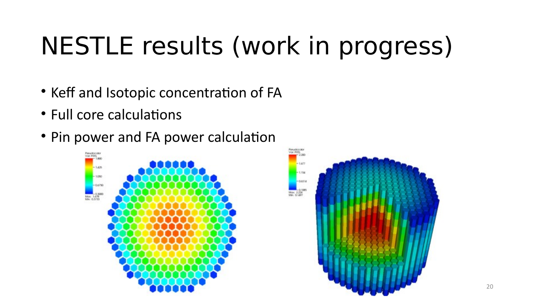# NESTLE results (work in progress)

- Keff and Isotopic concentration of FA
- Full core calculations
- Pin power and FA power calculation



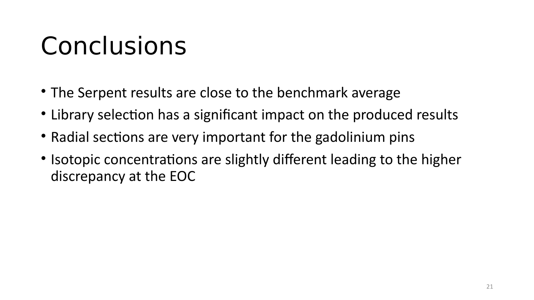## Conclusions

- The Serpent results are close to the benchmark average
- Library selection has a significant impact on the produced results
- Radial sections are very important for the gadolinium pins
- Isotopic concentrations are slightly different leading to the higher discrepancy at the EOC